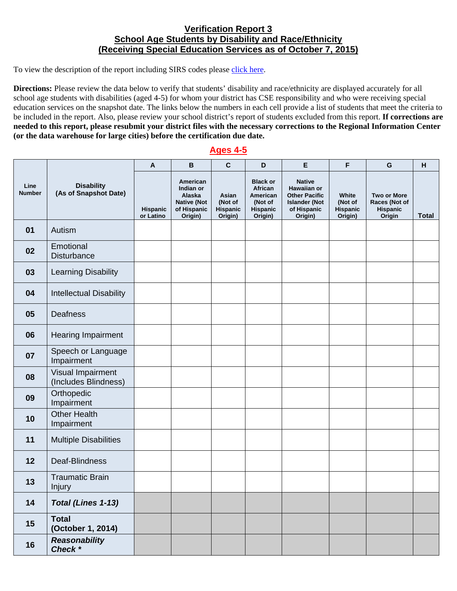## **Verification Report 3 School Age Students by Disability and Race/Ethnicity (Receiving Special Education Services as of October 7, 2015)**

To view the description of the report including SIRS codes please click here.

 **(or the data warehouse for large cities) before the certification due date. Directions:** Please review the data below to verify that students' disability and race/ethnicity are displayed accurately for all school age students with disabilities (aged 4-5) for whom your district has CSE responsibility and who were receiving special education services on the snapshot date. The links below the numbers in each cell provide a list of students that meet the criteria to be included in the report. Also, please review your school district's report of students excluded from this report. **If corrections are needed to this report, please resubmit your district files with the necessary corrections to the Regional Information Center** 

## **Ages 4-5**

| Line<br><b>Number</b> | <b>Disability</b><br>(As of Snapshot Date) | A                     | B                                                                               | $\mathbf c$                             | D                                                                        | E                                                                                                      | F                                              | G                                                         | н            |
|-----------------------|--------------------------------------------|-----------------------|---------------------------------------------------------------------------------|-----------------------------------------|--------------------------------------------------------------------------|--------------------------------------------------------------------------------------------------------|------------------------------------------------|-----------------------------------------------------------|--------------|
|                       |                                            | Hispanic<br>or Latino | American<br>Indian or<br>Alaska<br><b>Native (Not</b><br>of Hispanic<br>Origin) | Asian<br>(Not of<br>Hispanic<br>Origin) | <b>Black or</b><br>African<br>American<br>(Not of<br>Hispanic<br>Origin) | <b>Native</b><br>Hawaiian or<br><b>Other Pacific</b><br><b>Islander (Not</b><br>of Hispanic<br>Origin) | White<br>(Not of<br><b>Hispanic</b><br>Origin) | <b>Two or More</b><br>Races (Not of<br>Hispanic<br>Origin | <b>Total</b> |
| 01                    | Autism                                     |                       |                                                                                 |                                         |                                                                          |                                                                                                        |                                                |                                                           |              |
| 02                    | Emotional<br>Disturbance                   |                       |                                                                                 |                                         |                                                                          |                                                                                                        |                                                |                                                           |              |
| 03                    | <b>Learning Disability</b>                 |                       |                                                                                 |                                         |                                                                          |                                                                                                        |                                                |                                                           |              |
| 04                    | <b>Intellectual Disability</b>             |                       |                                                                                 |                                         |                                                                          |                                                                                                        |                                                |                                                           |              |
| 05                    | Deafness                                   |                       |                                                                                 |                                         |                                                                          |                                                                                                        |                                                |                                                           |              |
| 06                    | <b>Hearing Impairment</b>                  |                       |                                                                                 |                                         |                                                                          |                                                                                                        |                                                |                                                           |              |
| 07                    | Speech or Language<br>Impairment           |                       |                                                                                 |                                         |                                                                          |                                                                                                        |                                                |                                                           |              |
| 08                    | Visual Impairment<br>(Includes Blindness)  |                       |                                                                                 |                                         |                                                                          |                                                                                                        |                                                |                                                           |              |
| 09                    | Orthopedic<br>Impairment                   |                       |                                                                                 |                                         |                                                                          |                                                                                                        |                                                |                                                           |              |
| 10                    | <b>Other Health</b><br>Impairment          |                       |                                                                                 |                                         |                                                                          |                                                                                                        |                                                |                                                           |              |
| 11                    | <b>Multiple Disabilities</b>               |                       |                                                                                 |                                         |                                                                          |                                                                                                        |                                                |                                                           |              |
| 12                    | Deaf-Blindness                             |                       |                                                                                 |                                         |                                                                          |                                                                                                        |                                                |                                                           |              |
| 13                    | <b>Traumatic Brain</b><br><b>Injury</b>    |                       |                                                                                 |                                         |                                                                          |                                                                                                        |                                                |                                                           |              |
| 14                    | Total (Lines 1-13)                         |                       |                                                                                 |                                         |                                                                          |                                                                                                        |                                                |                                                           |              |
| 15                    | <b>Total</b><br>(October 1, 2014)          |                       |                                                                                 |                                         |                                                                          |                                                                                                        |                                                |                                                           |              |
| 16                    | <b>Reasonability</b><br>Check *            |                       |                                                                                 |                                         |                                                                          |                                                                                                        |                                                |                                                           |              |